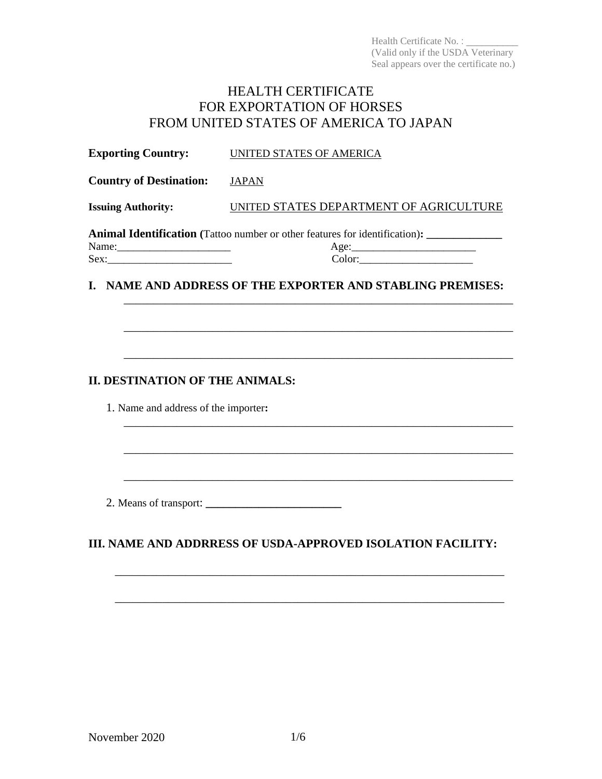Health Certificate No. : \_\_\_\_\_\_\_\_\_\_ (Valid only if the USDA Veterinary Seal appears over the certificate no.)

# HEALTH CERTIFICATE FOR EXPORTATION OF HORSES FROM UNITED STATES OF AMERICA TO JAPAN

|                                        | <b>Exporting Country:</b> UNITED STATES OF AMERICA                                 |
|----------------------------------------|------------------------------------------------------------------------------------|
| <b>Country of Destination:</b> JAPAN   |                                                                                    |
| <b>Issuing Authority:</b>              | UNITED STATES DEPARTMENT OF AGRICULTURE                                            |
|                                        | <b>Animal Identification</b> (Tattoo number or other features for identification): |
|                                        |                                                                                    |
|                                        | I. NAME AND ADDRESS OF THE EXPORTER AND STABLING PREMISES:                         |
|                                        |                                                                                    |
|                                        |                                                                                    |
| <b>II. DESTINATION OF THE ANIMALS:</b> |                                                                                    |
| 1. Name and address of the importer:   |                                                                                    |

\_\_\_\_\_\_\_\_\_\_\_\_\_\_\_\_\_\_\_\_\_\_\_\_\_\_\_\_\_\_\_\_\_\_\_\_\_\_\_\_\_\_\_\_\_\_\_\_\_\_\_\_\_\_\_\_\_\_\_\_\_\_\_\_\_\_

\_\_\_\_\_\_\_\_\_\_\_\_\_\_\_\_\_\_\_\_\_\_\_\_\_\_\_\_\_\_\_\_\_\_\_\_\_\_\_\_\_\_\_\_\_\_\_\_\_\_\_\_\_\_\_\_\_\_\_\_\_\_\_\_\_\_

\_\_\_\_\_\_\_\_\_\_\_\_\_\_\_\_\_\_\_\_\_\_\_\_\_\_\_\_\_\_\_\_\_\_\_\_\_\_\_\_\_\_\_\_\_\_\_\_\_\_\_\_\_\_\_\_\_\_\_\_\_\_\_\_\_\_

2. Means of transport: **\_\_\_\_\_\_\_\_\_\_\_\_\_\_\_\_\_\_\_\_\_\_\_**

## **III. NAME AND ADDRRESS OF USDA-APPROVED ISOLATION FACILITY:**

\_\_\_\_\_\_\_\_\_\_\_\_\_\_\_\_\_\_\_\_\_\_\_\_\_\_\_\_\_\_\_\_\_\_\_\_\_\_\_\_\_\_\_\_\_\_\_\_\_\_\_\_\_\_\_\_\_\_\_\_\_\_\_\_\_\_

\_\_\_\_\_\_\_\_\_\_\_\_\_\_\_\_\_\_\_\_\_\_\_\_\_\_\_\_\_\_\_\_\_\_\_\_\_\_\_\_\_\_\_\_\_\_\_\_\_\_\_\_\_\_\_\_\_\_\_\_\_\_\_\_\_\_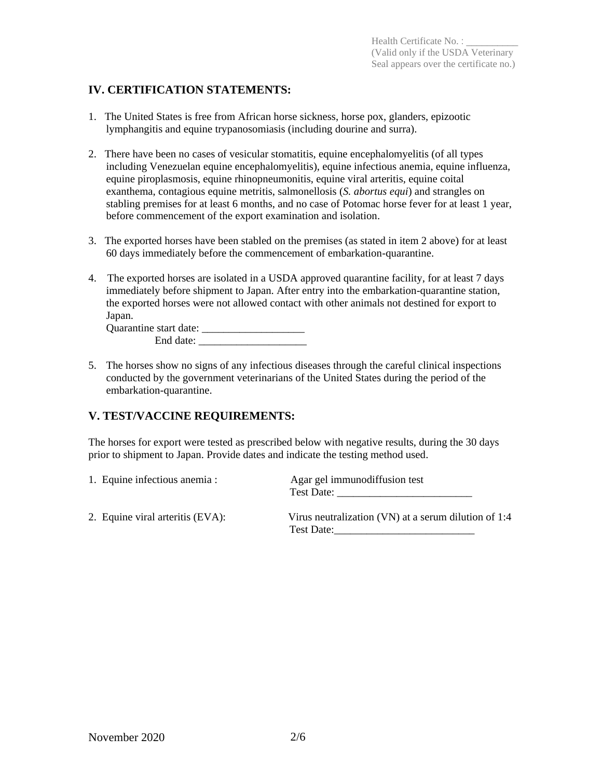## **IV. CERTIFICATION STATEMENTS:**

- 1. The United States is free from African horse sickness, horse pox, glanders, epizootic lymphangitis and equine trypanosomiasis (including dourine and surra).
- 2. There have been no cases of vesicular stomatitis, equine encephalomyelitis (of all types including Venezuelan equine encephalomyelitis), equine infectious anemia, equine influenza, equine piroplasmosis, equine rhinopneumonitis, equine viral arteritis, equine coital exanthema, contagious equine metritis, salmonellosis (*S. abortus equi*) and strangles on stabling premises for at least 6 months, and no case of Potomac horse fever for at least 1 year, before commencement of the export examination and isolation.
- 3. The exported horses have been stabled on the premises (as stated in item 2 above) for at least 60 days immediately before the commencement of embarkation-quarantine.
- 4. The exported horses are isolated in a USDA approved quarantine facility, for at least 7 days immediately before shipment to Japan. After entry into the embarkation-quarantine station, the exported horses were not allowed contact with other animals not destined for export to Japan.

Quarantine start date: \_\_\_\_\_\_\_\_\_\_\_\_\_\_\_\_\_\_\_ End date:

5. The horses show no signs of any infectious diseases through the careful clinical inspections conducted by the government veterinarians of the United States during the period of the embarkation-quarantine.

## **V. TEST/VACCINE REQUIREMENTS:**

The horses for export were tested as prescribed below with negative results, during the 30 days prior to shipment to Japan. Provide dates and indicate the testing method used.

| 1. Equine infectious anemia :    | Agar gel immunodiffusion test<br>Test Date:      |
|----------------------------------|--------------------------------------------------|
| 2. Equine viral arteritis (EVA): | Virus neutralization (VN) at a serum dilution of |

quine viral arteritis  $(EVA)$ :

| Virus neutralization (VN) at a serum dilution of 1:4 |
|------------------------------------------------------|
| Test Date:                                           |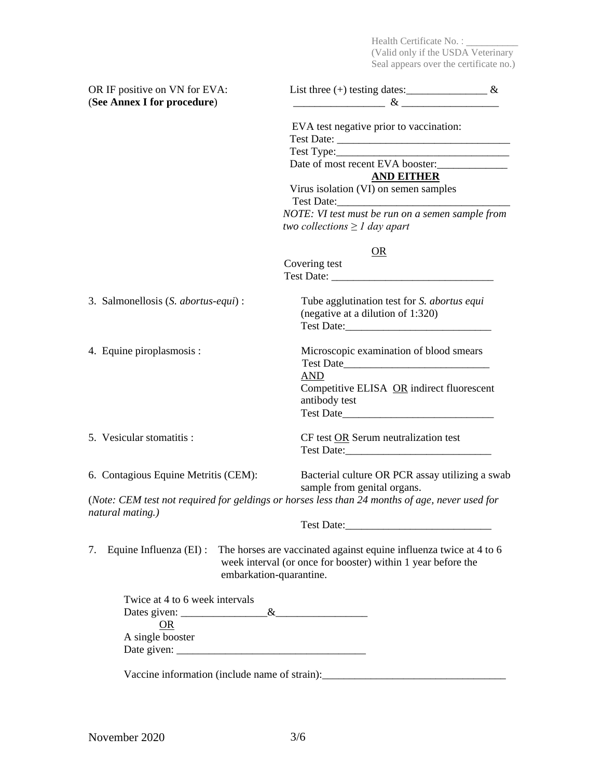Health Certificate No. : \_\_\_\_\_\_\_\_\_\_ (Valid only if the USDA Veterinary Seal appears over the certificate no.)

| (See Annex I for procedure)<br>$\begin{array}{c c c c c c} \hline \multicolumn{3}{c }{\textbf{0.6666}} & \multicolumn{3}{c }{\textbf{0.6666}} & \multicolumn{3}{c }{\textbf{0.6666}} & \multicolumn{3}{c }{\textbf{0.6666}} & \multicolumn{3}{c }{\textbf{0.6666}} & \multicolumn{3}{c }{\textbf{0.6666}} & \multicolumn{3}{c }{\textbf{0.6666}} & \multicolumn{3}{c }{\textbf{0.6666}} & \multicolumn{3}{c }{\textbf{0.6666}} & \mult$<br>EVA test negative prior to vaccination:<br>Date of most recent EVA booster:<br><b>AND EITHER</b><br>Virus isolation (VI) on semen samples<br>NOTE: VI test must be run on a semen sample from<br>two collections $\geq 1$ day apart<br><b>OR</b><br>Covering test<br>3. Salmonellosis (S. abortus-equi) :<br>Tube agglutination test for S. abortus equi<br>(negative at a dilution of 1:320)<br>Microscopic examination of blood smears<br>4. Equine piroplasmosis :<br><b>AND</b><br>Competitive ELISA OR indirect fluorescent<br>antibody test<br>5. Vesicular stomatitis :<br>CF test OR Serum neutralization test<br>Bacterial culture OR PCR assay utilizing a swab<br>6. Contagious Equine Metritis (CEM):<br>sample from genital organs.<br>(Note: CEM test not required for geldings or horses less than 24 months of age, never used for<br>natural mating.)<br>Test Date: National Assembly Press, 1986.<br>Equine Influenza (EI): The horses are vaccinated against equine influenza twice at 4 to 6<br>7.<br>week interval (or once for booster) within 1 year before the<br>embarkation-quarantine.<br>Twice at 4 to 6 week intervals<br><b>OR</b><br>A single booster<br>Vaccine information (include name of strain): | OR IF positive on VN for EVA: | List three $(+)$ testing dates: $\frac{\&}{}$ |  |
|----------------------------------------------------------------------------------------------------------------------------------------------------------------------------------------------------------------------------------------------------------------------------------------------------------------------------------------------------------------------------------------------------------------------------------------------------------------------------------------------------------------------------------------------------------------------------------------------------------------------------------------------------------------------------------------------------------------------------------------------------------------------------------------------------------------------------------------------------------------------------------------------------------------------------------------------------------------------------------------------------------------------------------------------------------------------------------------------------------------------------------------------------------------------------------------------------------------------------------------------------------------------------------------------------------------------------------------------------------------------------------------------------------------------------------------------------------------------------------------------------------------------------------------------------------------------------------------------------------------------------------------------------------------------------------|-------------------------------|-----------------------------------------------|--|
|                                                                                                                                                                                                                                                                                                                                                                                                                                                                                                                                                                                                                                                                                                                                                                                                                                                                                                                                                                                                                                                                                                                                                                                                                                                                                                                                                                                                                                                                                                                                                                                                                                                                                  |                               |                                               |  |
|                                                                                                                                                                                                                                                                                                                                                                                                                                                                                                                                                                                                                                                                                                                                                                                                                                                                                                                                                                                                                                                                                                                                                                                                                                                                                                                                                                                                                                                                                                                                                                                                                                                                                  |                               |                                               |  |
|                                                                                                                                                                                                                                                                                                                                                                                                                                                                                                                                                                                                                                                                                                                                                                                                                                                                                                                                                                                                                                                                                                                                                                                                                                                                                                                                                                                                                                                                                                                                                                                                                                                                                  |                               |                                               |  |
|                                                                                                                                                                                                                                                                                                                                                                                                                                                                                                                                                                                                                                                                                                                                                                                                                                                                                                                                                                                                                                                                                                                                                                                                                                                                                                                                                                                                                                                                                                                                                                                                                                                                                  |                               |                                               |  |
|                                                                                                                                                                                                                                                                                                                                                                                                                                                                                                                                                                                                                                                                                                                                                                                                                                                                                                                                                                                                                                                                                                                                                                                                                                                                                                                                                                                                                                                                                                                                                                                                                                                                                  |                               |                                               |  |
|                                                                                                                                                                                                                                                                                                                                                                                                                                                                                                                                                                                                                                                                                                                                                                                                                                                                                                                                                                                                                                                                                                                                                                                                                                                                                                                                                                                                                                                                                                                                                                                                                                                                                  |                               |                                               |  |
|                                                                                                                                                                                                                                                                                                                                                                                                                                                                                                                                                                                                                                                                                                                                                                                                                                                                                                                                                                                                                                                                                                                                                                                                                                                                                                                                                                                                                                                                                                                                                                                                                                                                                  |                               |                                               |  |
|                                                                                                                                                                                                                                                                                                                                                                                                                                                                                                                                                                                                                                                                                                                                                                                                                                                                                                                                                                                                                                                                                                                                                                                                                                                                                                                                                                                                                                                                                                                                                                                                                                                                                  |                               |                                               |  |
|                                                                                                                                                                                                                                                                                                                                                                                                                                                                                                                                                                                                                                                                                                                                                                                                                                                                                                                                                                                                                                                                                                                                                                                                                                                                                                                                                                                                                                                                                                                                                                                                                                                                                  |                               |                                               |  |
|                                                                                                                                                                                                                                                                                                                                                                                                                                                                                                                                                                                                                                                                                                                                                                                                                                                                                                                                                                                                                                                                                                                                                                                                                                                                                                                                                                                                                                                                                                                                                                                                                                                                                  |                               |                                               |  |
|                                                                                                                                                                                                                                                                                                                                                                                                                                                                                                                                                                                                                                                                                                                                                                                                                                                                                                                                                                                                                                                                                                                                                                                                                                                                                                                                                                                                                                                                                                                                                                                                                                                                                  |                               |                                               |  |
|                                                                                                                                                                                                                                                                                                                                                                                                                                                                                                                                                                                                                                                                                                                                                                                                                                                                                                                                                                                                                                                                                                                                                                                                                                                                                                                                                                                                                                                                                                                                                                                                                                                                                  |                               |                                               |  |
|                                                                                                                                                                                                                                                                                                                                                                                                                                                                                                                                                                                                                                                                                                                                                                                                                                                                                                                                                                                                                                                                                                                                                                                                                                                                                                                                                                                                                                                                                                                                                                                                                                                                                  |                               |                                               |  |
|                                                                                                                                                                                                                                                                                                                                                                                                                                                                                                                                                                                                                                                                                                                                                                                                                                                                                                                                                                                                                                                                                                                                                                                                                                                                                                                                                                                                                                                                                                                                                                                                                                                                                  |                               |                                               |  |
|                                                                                                                                                                                                                                                                                                                                                                                                                                                                                                                                                                                                                                                                                                                                                                                                                                                                                                                                                                                                                                                                                                                                                                                                                                                                                                                                                                                                                                                                                                                                                                                                                                                                                  |                               |                                               |  |
|                                                                                                                                                                                                                                                                                                                                                                                                                                                                                                                                                                                                                                                                                                                                                                                                                                                                                                                                                                                                                                                                                                                                                                                                                                                                                                                                                                                                                                                                                                                                                                                                                                                                                  |                               |                                               |  |
|                                                                                                                                                                                                                                                                                                                                                                                                                                                                                                                                                                                                                                                                                                                                                                                                                                                                                                                                                                                                                                                                                                                                                                                                                                                                                                                                                                                                                                                                                                                                                                                                                                                                                  |                               |                                               |  |
|                                                                                                                                                                                                                                                                                                                                                                                                                                                                                                                                                                                                                                                                                                                                                                                                                                                                                                                                                                                                                                                                                                                                                                                                                                                                                                                                                                                                                                                                                                                                                                                                                                                                                  |                               |                                               |  |
|                                                                                                                                                                                                                                                                                                                                                                                                                                                                                                                                                                                                                                                                                                                                                                                                                                                                                                                                                                                                                                                                                                                                                                                                                                                                                                                                                                                                                                                                                                                                                                                                                                                                                  |                               |                                               |  |
|                                                                                                                                                                                                                                                                                                                                                                                                                                                                                                                                                                                                                                                                                                                                                                                                                                                                                                                                                                                                                                                                                                                                                                                                                                                                                                                                                                                                                                                                                                                                                                                                                                                                                  |                               |                                               |  |
|                                                                                                                                                                                                                                                                                                                                                                                                                                                                                                                                                                                                                                                                                                                                                                                                                                                                                                                                                                                                                                                                                                                                                                                                                                                                                                                                                                                                                                                                                                                                                                                                                                                                                  |                               |                                               |  |
|                                                                                                                                                                                                                                                                                                                                                                                                                                                                                                                                                                                                                                                                                                                                                                                                                                                                                                                                                                                                                                                                                                                                                                                                                                                                                                                                                                                                                                                                                                                                                                                                                                                                                  |                               |                                               |  |
|                                                                                                                                                                                                                                                                                                                                                                                                                                                                                                                                                                                                                                                                                                                                                                                                                                                                                                                                                                                                                                                                                                                                                                                                                                                                                                                                                                                                                                                                                                                                                                                                                                                                                  |                               |                                               |  |
|                                                                                                                                                                                                                                                                                                                                                                                                                                                                                                                                                                                                                                                                                                                                                                                                                                                                                                                                                                                                                                                                                                                                                                                                                                                                                                                                                                                                                                                                                                                                                                                                                                                                                  |                               |                                               |  |
|                                                                                                                                                                                                                                                                                                                                                                                                                                                                                                                                                                                                                                                                                                                                                                                                                                                                                                                                                                                                                                                                                                                                                                                                                                                                                                                                                                                                                                                                                                                                                                                                                                                                                  |                               |                                               |  |
|                                                                                                                                                                                                                                                                                                                                                                                                                                                                                                                                                                                                                                                                                                                                                                                                                                                                                                                                                                                                                                                                                                                                                                                                                                                                                                                                                                                                                                                                                                                                                                                                                                                                                  |                               |                                               |  |
|                                                                                                                                                                                                                                                                                                                                                                                                                                                                                                                                                                                                                                                                                                                                                                                                                                                                                                                                                                                                                                                                                                                                                                                                                                                                                                                                                                                                                                                                                                                                                                                                                                                                                  |                               |                                               |  |
|                                                                                                                                                                                                                                                                                                                                                                                                                                                                                                                                                                                                                                                                                                                                                                                                                                                                                                                                                                                                                                                                                                                                                                                                                                                                                                                                                                                                                                                                                                                                                                                                                                                                                  |                               |                                               |  |
|                                                                                                                                                                                                                                                                                                                                                                                                                                                                                                                                                                                                                                                                                                                                                                                                                                                                                                                                                                                                                                                                                                                                                                                                                                                                                                                                                                                                                                                                                                                                                                                                                                                                                  |                               |                                               |  |
|                                                                                                                                                                                                                                                                                                                                                                                                                                                                                                                                                                                                                                                                                                                                                                                                                                                                                                                                                                                                                                                                                                                                                                                                                                                                                                                                                                                                                                                                                                                                                                                                                                                                                  |                               |                                               |  |
|                                                                                                                                                                                                                                                                                                                                                                                                                                                                                                                                                                                                                                                                                                                                                                                                                                                                                                                                                                                                                                                                                                                                                                                                                                                                                                                                                                                                                                                                                                                                                                                                                                                                                  |                               |                                               |  |
|                                                                                                                                                                                                                                                                                                                                                                                                                                                                                                                                                                                                                                                                                                                                                                                                                                                                                                                                                                                                                                                                                                                                                                                                                                                                                                                                                                                                                                                                                                                                                                                                                                                                                  |                               |                                               |  |
|                                                                                                                                                                                                                                                                                                                                                                                                                                                                                                                                                                                                                                                                                                                                                                                                                                                                                                                                                                                                                                                                                                                                                                                                                                                                                                                                                                                                                                                                                                                                                                                                                                                                                  |                               |                                               |  |
|                                                                                                                                                                                                                                                                                                                                                                                                                                                                                                                                                                                                                                                                                                                                                                                                                                                                                                                                                                                                                                                                                                                                                                                                                                                                                                                                                                                                                                                                                                                                                                                                                                                                                  |                               |                                               |  |
|                                                                                                                                                                                                                                                                                                                                                                                                                                                                                                                                                                                                                                                                                                                                                                                                                                                                                                                                                                                                                                                                                                                                                                                                                                                                                                                                                                                                                                                                                                                                                                                                                                                                                  |                               |                                               |  |
|                                                                                                                                                                                                                                                                                                                                                                                                                                                                                                                                                                                                                                                                                                                                                                                                                                                                                                                                                                                                                                                                                                                                                                                                                                                                                                                                                                                                                                                                                                                                                                                                                                                                                  |                               |                                               |  |
|                                                                                                                                                                                                                                                                                                                                                                                                                                                                                                                                                                                                                                                                                                                                                                                                                                                                                                                                                                                                                                                                                                                                                                                                                                                                                                                                                                                                                                                                                                                                                                                                                                                                                  |                               |                                               |  |
|                                                                                                                                                                                                                                                                                                                                                                                                                                                                                                                                                                                                                                                                                                                                                                                                                                                                                                                                                                                                                                                                                                                                                                                                                                                                                                                                                                                                                                                                                                                                                                                                                                                                                  |                               |                                               |  |
|                                                                                                                                                                                                                                                                                                                                                                                                                                                                                                                                                                                                                                                                                                                                                                                                                                                                                                                                                                                                                                                                                                                                                                                                                                                                                                                                                                                                                                                                                                                                                                                                                                                                                  |                               |                                               |  |
|                                                                                                                                                                                                                                                                                                                                                                                                                                                                                                                                                                                                                                                                                                                                                                                                                                                                                                                                                                                                                                                                                                                                                                                                                                                                                                                                                                                                                                                                                                                                                                                                                                                                                  |                               |                                               |  |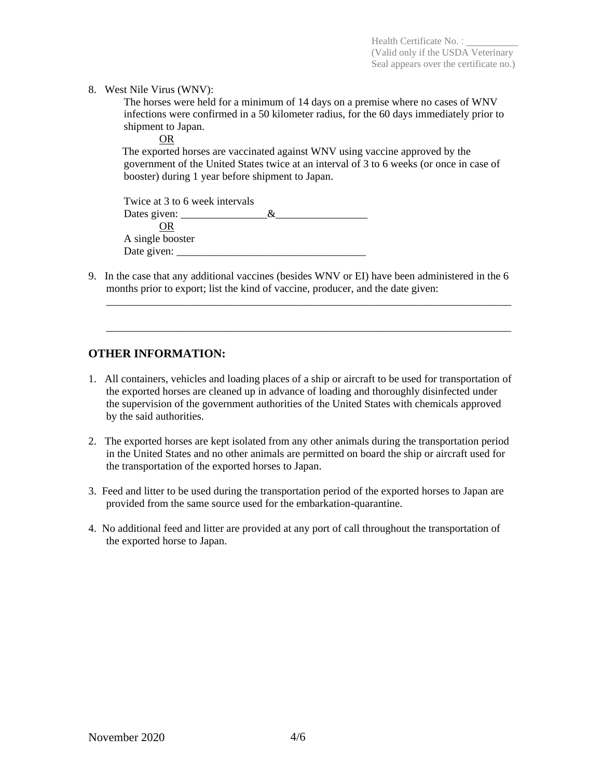#### 8. West Nile Virus (WNV):

The horses were held for a minimum of 14 days on a premise where no cases of WNV infections were confirmed in a 50 kilometer radius, for the 60 days immediately prior to shipment to Japan.

 OR The exported horses are vaccinated against WNV using vaccine approved by the government of the United States twice at an interval of 3 to 6 weeks (or once in case of booster) during 1 year before shipment to Japan.

| Twice at 3 to 6 week intervals |  |
|--------------------------------|--|
| Dates given:                   |  |
| DR.                            |  |
| A single booster               |  |
| Date given:                    |  |

9. In the case that any additional vaccines (besides WNV or EI) have been administered in the 6 months prior to export; list the kind of vaccine, producer, and the date given:

\_\_\_\_\_\_\_\_\_\_\_\_\_\_\_\_\_\_\_\_\_\_\_\_\_\_\_\_\_\_\_\_\_\_\_\_\_\_\_\_\_\_\_\_\_\_\_\_\_\_\_\_\_\_\_\_\_\_\_\_\_\_\_\_\_\_\_\_\_\_\_\_\_\_\_

\_\_\_\_\_\_\_\_\_\_\_\_\_\_\_\_\_\_\_\_\_\_\_\_\_\_\_\_\_\_\_\_\_\_\_\_\_\_\_\_\_\_\_\_\_\_\_\_\_\_\_\_\_\_\_\_\_\_\_\_\_\_\_\_\_\_\_\_\_\_\_\_\_\_\_

### **OTHER INFORMATION:**

- 1. All containers, vehicles and loading places of a ship or aircraft to be used for transportation of the exported horses are cleaned up in advance of loading and thoroughly disinfected under the supervision of the government authorities of the United States with chemicals approved by the said authorities.
- 2. The exported horses are kept isolated from any other animals during the transportation period in the United States and no other animals are permitted on board the ship or aircraft used for the transportation of the exported horses to Japan.
- 3. Feed and litter to be used during the transportation period of the exported horses to Japan are provided from the same source used for the embarkation-quarantine.
- 4. No additional feed and litter are provided at any port of call throughout the transportation of the exported horse to Japan.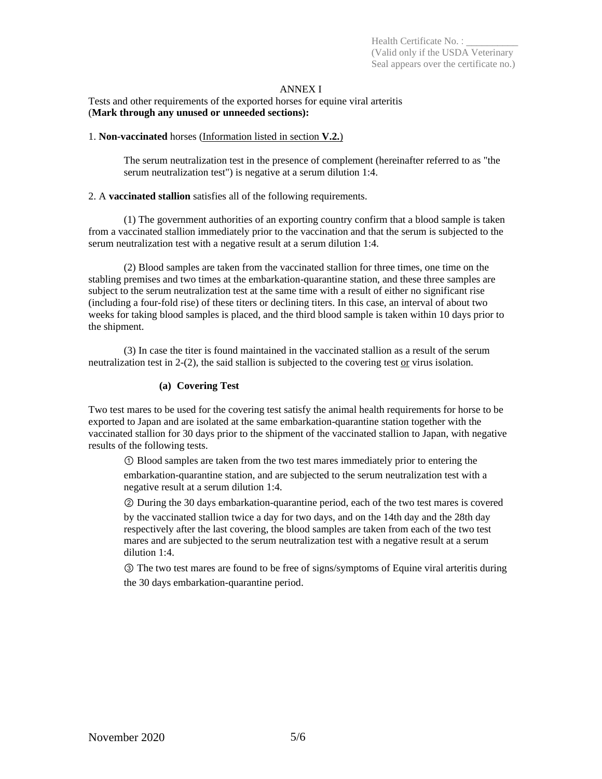#### ANNEX I

Tests and other requirements of the exported horses for equine viral arteritis (**Mark through any unused or unneeded sections):**

#### 1. **Non-vaccinated** horses (Information listed in section **V.2.**)

The serum neutralization test in the presence of complement (hereinafter referred to as "the serum neutralization test") is negative at a serum dilution 1:4.

#### 2. A **vaccinated stallion** satisfies all of the following requirements.

(1) The government authorities of an exporting country confirm that a blood sample is taken from a vaccinated stallion immediately prior to the vaccination and that the serum is subjected to the serum neutralization test with a negative result at a serum dilution 1:4.

(2) Blood samples are taken from the vaccinated stallion for three times, one time on the stabling premises and two times at the embarkation-quarantine station, and these three samples are subject to the serum neutralization test at the same time with a result of either no significant rise (including a four-fold rise) of these titers or declining titers. In this case, an interval of about two weeks for taking blood samples is placed, and the third blood sample is taken within 10 days prior to the shipment.

(3) In case the titer is found maintained in the vaccinated stallion as a result of the serum neutralization test in  $2-(2)$ , the said stallion is subjected to the covering test or virus isolation.

#### **(a) Covering Test**

Two test mares to be used for the covering test satisfy the animal health requirements for horse to be exported to Japan and are isolated at the same embarkation-quarantine station together with the vaccinated stallion for 30 days prior to the shipment of the vaccinated stallion to Japan, with negative results of the following tests.

① Blood samples are taken from the two test mares immediately prior to entering the embarkation-quarantine station, and are subjected to the serum neutralization test with a negative result at a serum dilution 1:4.

② During the 30 days embarkation-quarantine period, each of the two test mares is covered by the vaccinated stallion twice a day for two days, and on the 14th day and the 28th day respectively after the last covering, the blood samples are taken from each of the two test mares and are subjected to the serum neutralization test with a negative result at a serum dilution 1:4.

③ The two test mares are found to be free of signs/symptoms of Equine viral arteritis during the 30 days embarkation-quarantine period.